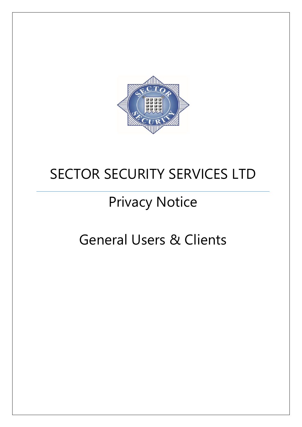

## SECTOR SECURITY SERVICES LTD

# Privacy Notice

### General Users & Clients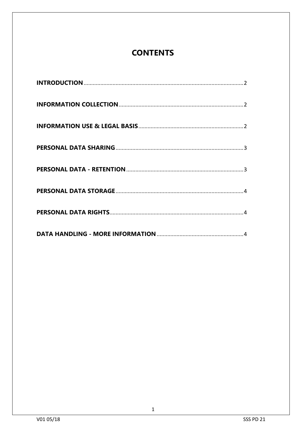### **CONTENTS**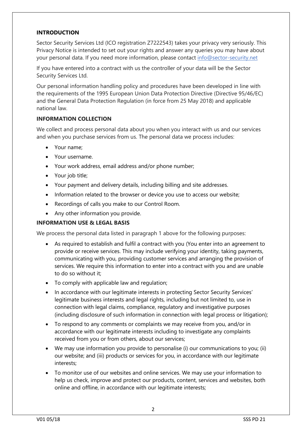#### <span id="page-2-0"></span>**INTRODUCTION**

Sector Security Services Ltd (ICO registration Z7222543) takes your privacy very seriously. This Privacy Notice is intended to set out your rights and answer any queries you may have about your personal data. If you need more information, please contact info@sector-security.net

If you have entered into a contract with us the controller of your data will be the Sector Security Services Ltd.

Our personal information handling policy and procedures have been developed in line with the requirements of the 1995 European Union Data Protection Directive (Directive 95/46/EC) and the General Data Protection Regulation (in force from 25 May 2018) and applicable national law.

#### <span id="page-2-1"></span>**INFORMATION COLLECTION**

We collect and process personal data about you when you interact with us and our services and when you purchase services from us. The personal data we process includes:

- Your name;
- Your username.
- Your work address, email address and/or phone number;
- Your job title;
- Your payment and delivery details, including billing and site addresses.
- Information related to the browser or device you use to access our website;
- Recordings of calls you make to our Control Room.
- Any other information you provide.

#### <span id="page-2-2"></span>**INFORMATION USE & LEGAL BASIS**

We process the personal data listed in paragraph 1 above for the following purposes:

- As required to establish and fulfil a contract with you (You enter into an agreement to provide or receive services. This may include verifying your identity, taking payments, communicating with you, providing customer services and arranging the provision of services. We require this information to enter into a contract with you and are unable to do so without it;
- To comply with applicable law and regulation;
- In accordance with our legitimate interests in protecting Sector Security Services' legitimate business interests and legal rights, including but not limited to, use in connection with legal claims, compliance, regulatory and investigative purposes (including disclosure of such information in connection with legal process or litigation);
- To respond to any comments or complaints we may receive from you, and/or in accordance with our legitimate interests including to investigate any complaints received from you or from others, about our services;
- We may use information you provide to personalise (i) our communications to you; (ii) our website; and (iii) products or services for you, in accordance with our legitimate interests;
- To monitor use of our websites and online services. We may use your information to help us check, improve and protect our products, content, services and websites, both online and offline, in accordance with our legitimate interests;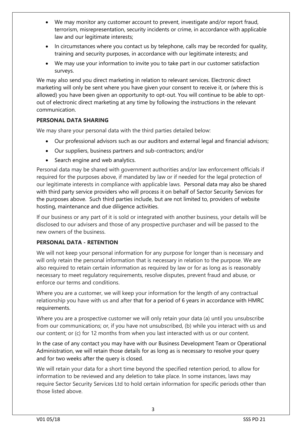- We may monitor any customer account to prevent, investigate and/or report fraud, terrorism, misrepresentation, security incidents or crime, in accordance with applicable law and our legitimate interests;
- In circumstances where you contact us by telephone, calls may be recorded for quality, training and security purposes, in accordance with our legitimate interests; and
- We may use your information to invite you to take part in our customer satisfaction surveys.

We may also send you direct marketing in relation to relevant services. Electronic direct marketing will only be sent where you have given your consent to receive it, or (where this is allowed) you have been given an opportunity to opt-out. You will continue to be able to optout of electronic direct marketing at any time by following the instructions in the relevant communication.

#### <span id="page-3-0"></span>**PERSONAL DATA SHARING**

We may share your personal data with the third parties detailed below:

- Our professional advisors such as our auditors and external legal and financial advisors;
- Our suppliers, business partners and sub-contractors; and/or
- Search engine and web analytics.

Personal data may be shared with government authorities and/or law enforcement officials if required for the purposes above, if mandated by law or if needed for the legal protection of our legitimate interests in compliance with applicable laws. Personal data may also be shared with third party service providers who will process it on behalf of Sector Security Services for the purposes above. Such third parties include, but are not limited to, providers of website hosting, maintenance and due diligence activities.

If our business or any part of it is sold or integrated with another business, your details will be disclosed to our advisers and those of any prospective purchaser and will be passed to the new owners of the business.

#### <span id="page-3-1"></span>**PERSONAL DATA - RETENTION**

We will not keep your personal information for any purpose for longer than is necessary and will only retain the personal information that is necessary in relation to the purpose. We are also required to retain certain information as required by law or for as long as is reasonably necessary to meet regulatory requirements, resolve disputes, prevent fraud and abuse, or enforce our terms and conditions.

Where you are a customer, we will keep your information for the length of any contractual relationship you have with us and after that for a period of 6 years in accordance with HMRC requirements.

Where you are a prospective customer we will only retain your data (a) until you unsubscribe from our communications; or, if you have not unsubscribed, (b) while you interact with us and our content; or (c) for 12 months from when you last interacted with us or our content.

In the case of any contact you may have with our Business Development Team or Operational Administration, we will retain those details for as long as is necessary to resolve your query and for two weeks after the query is closed.

We will retain your data for a short time beyond the specified retention period, to allow for information to be reviewed and any deletion to take place. In some instances, laws may require Sector Security Services Ltd to hold certain information for specific periods other than those listed above.